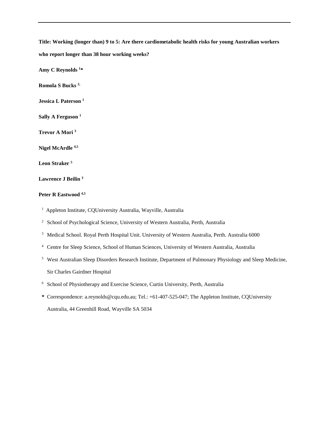**Title: Working (longer than) 9 to 5: Are there cardiometabolic health risks for young Australian workers** 

**who report longer than 38 hour working weeks?**

**Amy C Reynolds 1 \***

**Romola S Bucks 2,** 

**Jessica L Paterson 1**

**Sally A Ferguson 1**

**Trevor A Mori 3**

**Nigel McArdle 4,5**

**Leon Straker 5**

## **Lawrence J Beilin 3**

# **Peter R Eastwood 4,5**

1 Appleton Institute, CQUniversity Australia, Wayville, Australia

<sup>2</sup> School of Psychological Science, University of Western Australia, Perth, Australia

<sup>3</sup> Medical School. Royal Perth Hospital Unit. University of Western Australia, Perth. Australia 6000

<sup>4</sup> Centre for Sleep Science, School of Human Sciences, University of Western Australia, Australia

- <sup>5</sup> West Australian Sleep Disorders Research Institute, Department of Pulmonary Physiology and Sleep Medicine, Sir Charles Gairdner Hospital
- <sup>6</sup> School of Physiotherapy and Exercise Science, Curtin University, Perth, Australia
- **\*** Correspondence: a.reynolds@cqu.edu.au; Tel.: +61-407-525-047; The Appleton Institute, CQUniversity Australia, 44 Greenhill Road, Wayville SA 5034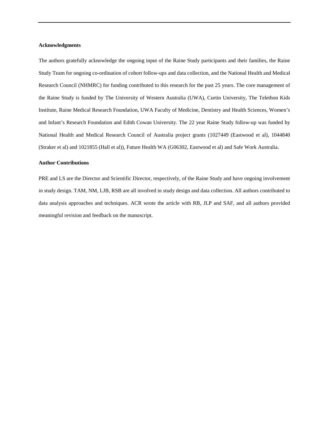### **Acknowledgments**

The authors gratefully acknowledge the ongoing input of the Raine Study participants and their families, the Raine Study Team for ongoing co-ordination of cohort follow-ups and data collection, and the National Health and Medical Research Council (NHMRC) for funding contributed to this research for the past 25 years. The core management of the Raine Study is funded by The University of Western Australia (UWA), Curtin University, The Telethon Kids Institute, Raine Medical Research Foundation, UWA Faculty of Medicine, Dentistry and Health Sciences, Women's and Infant's Research Foundation and Edith Cowan University. The 22 year Raine Study follow-up was funded by National Health and Medical Research Council of Australia project grants (1027449 (Eastwood et al), 1044840 (Straker et al) and 1021855 (Hall et al)), Future Health WA (G06302, Eastwood et al) and Safe Work Australia.

### **Author Contributions**

PRE and LS are the Director and Scientific Director, respectively, of the Raine Study and have ongoing involvement in study design. TAM, NM, LJB, RSB are all involved in study design and data collection. All authors contributed to data analysis approaches and techniques. ACR wrote the article with RB, JLP and SAF, and all authors provided meaningful revision and feedback on the manuscript.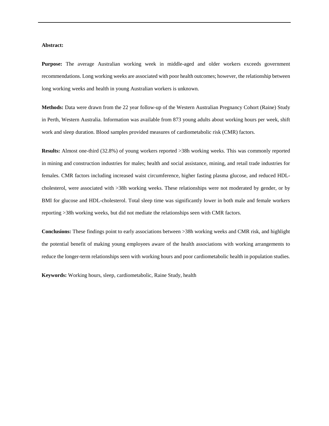### **Abstract:**

**Purpose:** The average Australian working week in middle-aged and older workers exceeds government recommendations. Long working weeks are associated with poor health outcomes; however, the relationship between long working weeks and health in young Australian workers is unknown.

**Methods:** Data were drawn from the 22 year follow-up of the Western Australian Pregnancy Cohort (Raine) Study in Perth, Western Australia. Information was available from 873 young adults about working hours per week, shift work and sleep duration. Blood samples provided measures of cardiometabolic risk (CMR) factors.

**Results:** Almost one-third (32.8%) of young workers reported >38h working weeks. This was commonly reported in mining and construction industries for males; health and social assistance, mining, and retail trade industries for females. CMR factors including increased waist circumference, higher fasting plasma glucose, and reduced HDLcholesterol, were associated with >38h working weeks. These relationships were not moderated by gender, or by BMI for glucose and HDL-cholesterol. Total sleep time was significantly lower in both male and female workers reporting >38h working weeks, but did not mediate the relationships seen with CMR factors.

**Conclusions:** These findings point to early associations between >38h working weeks and CMR risk, and highlight the potential benefit of making young employees aware of the health associations with working arrangements to reduce the longer-term relationships seen with working hours and poor cardiometabolic health in population studies.

**Keywords:** Working hours, sleep, cardiometabolic, Raine Study, health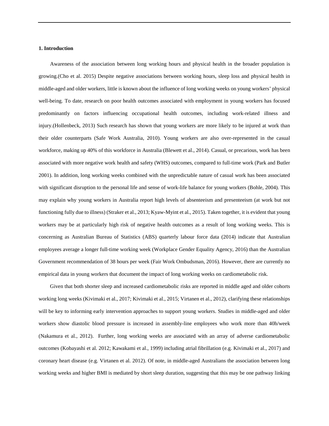#### **1. Introduction**

Awareness of the association between long working hours and physical health in the broader population is growing.(Cho et al. 2015) Despite negative associations between working hours, sleep loss and physical health in middle-aged and older workers, little is known about the influence of long working weeks on young workers' physical well-being. To date, research on poor health outcomes associated with employment in young workers has focused predominantly on factors influencing occupational health outcomes, including work-related illness and injury.(Hollenbeck, 2013) Such research has shown that young workers are more likely to be injured at work than their older counterparts (Safe Work Australia, 2010). Young workers are also over-represented in the casual workforce, making up 40% of this workforce in Australia (Blewett et al., 2014). Casual, or precarious, work has been associated with more negative work health and safety (WHS) outcomes, compared to full-time work (Park and Butler 2001). In addition, long working weeks combined with the unpredictable nature of casual work has been associated with significant disruption to the personal life and sense of work-life balance for young workers (Bohle, 2004). This may explain why young workers in Australia report high levels of absenteeism and presenteeism (at work but not functioning fully due to illness) (Straker et al., 2013; Kyaw-Myint et al., 2015). Taken together, it is evident that young workers may be at particularly high risk of negative health outcomes as a result of long working weeks. This is concerning as Australian Bureau of Statistics (ABS) quarterly labour force data (2014) indicate that Australian employees average a longer full-time working week (Workplace Gender Equality Agency, 2016) than the Australian Government recommendation of 38 hours per week (Fair Work Ombudsman, 2016). However, there are currently no empirical data in young workers that document the impact of long working weeks on cardiometabolic risk.

Given that both shorter sleep and increased cardiometabolic risks are reported in middle aged and older cohorts working long weeks (Kivimaki et al., 2017; Kivimaki et al., 2015; Virtanen et al., 2012), clarifying these relationships will be key to informing early intervention approaches to support young workers. Studies in middle-aged and older workers show diastolic blood pressure is increased in assembly-line employees who work more than 40h/week (Nakamura et al., 2012). Further, long working weeks are associated with an array of adverse cardiometabolic outcomes (Kobayashi et al. 2012; Kawakami et al., 1999) including atrial fibrillation (e.g. Kivimaki et al., 2017) and coronary heart disease (e.g. Virtanen et al. 2012). Of note, in middle-aged Australians the association between long working weeks and higher BMI is mediated by short sleep duration, suggesting that this may be one pathway linking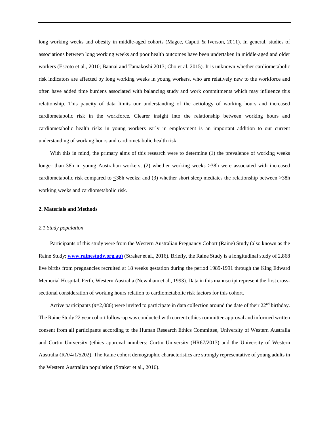long working weeks and obesity in middle-aged cohorts (Magee, Caputi & Iverson, 2011). In general, studies of associations between long working weeks and poor health outcomes have been undertaken in middle-aged and older workers (Escoto et al., 2010; Bannai and Tamakoshi 2013; Cho et al. 2015). It is unknown whether cardiometabolic risk indicators are affected by long working weeks in young workers, who are relatively new to the workforce and often have added time burdens associated with balancing study and work commitments which may influence this relationship. This paucity of data limits our understanding of the aetiology of working hours and increased cardiometabolic risk in the workforce. Clearer insight into the relationship between working hours and cardiometabolic health risks in young workers early in employment is an important addition to our current understanding of working hours and cardiometabolic health risk.

With this in mind, the primary aims of this research were to determine (1) the prevalence of working weeks longer than 38h in young Australian workers; (2) whether working weeks >38h were associated with increased cardiometabolic risk compared to  $\leq$ 38h weeks; and (3) whether short sleep mediates the relationship between >38h working weeks and cardiometabolic risk.

#### **2. Materials and Methods**

#### *2.1 Study population*

Participants of this study were from the Western Australian Pregnancy Cohort (Raine) Study (also known as the Raine Study; **[www.rainestudy.org.au\)](http://www.rainestudy.org.au)/)** (Straker et al., 2016). Briefly, the Raine Study is a longitudinal study of 2,868 live births from pregnancies recruited at 18 weeks gestation during the period 1989-1991 through the King Edward Memorial Hospital, Perth, Western Australia (Newnham et al., 1993). Data in this manuscript represent the first crosssectional consideration of working hours relation to cardiometabolic risk factors for this cohort.

Active participants ( $n=2,086$ ) were invited to participate in data collection around the date of their  $22<sup>nd</sup>$  birthday. The Raine Study 22 year cohort follow-up was conducted with current ethics committee approval and informed written consent from all participants according to the Human Research Ethics Committee, University of Western Australia and Curtin University (ethics approval numbers: Curtin University (HR67/2013) and the University of Western Australia (RA/4/1/5202). The Raine cohort demographic characteristics are strongly representative of young adults in the Western Australian population (Straker et al., 2016).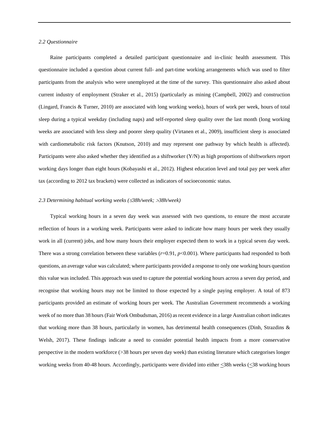## *2.2 Questionnaire*

Raine participants completed a detailed participant questionnaire and in-clinic health assessment. This questionnaire included a question about current full- and part-time working arrangements which was used to filter participants from the analysis who were unemployed at the time of the survey. This questionnaire also asked about current industry of employment (Straker et al., 2015) (particularly as mining (Campbell, 2002) and construction (Lingard, Francis & Turner, 2010) are associated with long working weeks), hours of work per week, hours of total sleep during a typical weekday (including naps) and self-reported sleep quality over the last month (long working weeks are associated with less sleep and poorer sleep quality (Virtanen et al., 2009), insufficient sleep is associated with cardiometabolic risk factors (Knutson, 2010) and may represent one pathway by which health is affected). Participants were also asked whether they identified as a shiftworker (Y/N) as high proportions of shiftworkers report working days longer than eight hours (Kobayashi et al., 2012). Highest education level and total pay per week after tax (according to 2012 tax brackets) were collected as indicators of socioeconomic status.

### *2.3 Determining habitual working weeks (*≤*38h/week;* >*38h/week)*

Typical working hours in a seven day week was assessed with two questions, to ensure the most accurate reflection of hours in a working week. Participants were asked to indicate how many hours per week they usually work in all (current) jobs, and how many hours their employer expected them to work in a typical seven day week. There was a strong correlation between these variables ( $r=0.91$ ,  $p<0.001$ ). Where participants had responded to both questions, an average value was calculated; where participants provided a response to only one working hours question this value was included. This approach was used to capture the potential working hours across a seven day period, and recognise that working hours may not be limited to those expected by a single paying employer. A total of 873 participants provided an estimate of working hours per week. The Australian Government recommends a working week of no more than 38 hours (Fair Work Ombudsman, 2016) as recent evidence in a large Australian cohort indicates that working more than 38 hours, particularly in women, has detrimental health consequences (Dinh, Strazdins & Welsh, 2017). These findings indicate a need to consider potential health impacts from a more conservative perspective in the modern workforce (>38 hours per seven day week) than existing literature which categorises longer working weeks from 40-48 hours. Accordingly, participants were divided into either <38h weeks (<38 working hours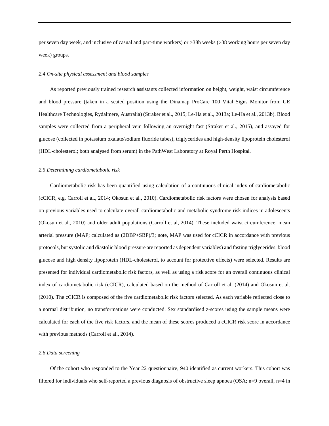per seven day week, and inclusive of casual and part-time workers) or >38h weeks (>38 working hours per seven day week) groups.

#### *2.4 On-site physical assessment and blood samples*

As reported previously trained research assistants collected information on height, weight, waist circumference and blood pressure (taken in a seated position using the Dinamap ProCare 100 Vital Signs Monitor from GE Healthcare Technologies, Rydalmere, Australia) (Straker et al., 2015; Le-Ha et al., 2013a; Le-Ha et al., 2013b). Blood samples were collected from a peripheral vein following an overnight fast (Straker et al., 2015), and assayed for glucose (collected in potassium oxalate/sodium fluoride tubes), triglycerides and high-density lipoprotein cholesterol (HDL-cholesterol; both analysed from serum) in the PathWest Laboratory at Royal Perth Hospital.

#### *2.5 Determining cardiometabolic risk*

Cardiometabolic risk has been quantified using calculation of a continuous clinical index of cardiometabolic (cCICR, e.g. Carroll et al., 2014; Okosun et al., 2010). Cardiometabolic risk factors were chosen for analysis based on previous variables used to calculate overall cardiometabolic and metabolic syndrome risk indices in adolescents (Okosun et al., 2010) and older adult populations (Carroll et al, 2014). These included waist circumference, mean arterial pressure (MAP; calculated as (2DBP+SBP)/3; note, MAP was used for cCICR in accordance with previous protocols, but systolic and diastolic blood pressure are reported as dependent variables) and fasting triglycerides, blood glucose and high density lipoprotein (HDL-cholesterol, to account for protective effects) were selected. Results are presented for individual cardiometabolic risk factors, as well as using a risk score for an overall continuous clinical index of cardiometabolic risk (cCICR), calculated based on the method of Carroll et al. (2014) and Okosun et al. (2010). The cCICR is composed of the five cardiometabolic risk factors selected. As each variable reflected close to a normal distribution, no transformations were conducted. Sex standardised z-scores using the sample means were calculated for each of the five risk factors, and the mean of these scores produced a cCICR risk score in accordance with previous methods (Carroll et al., 2014).

### *2.6 Data screening*

Of the cohort who responded to the Year 22 questionnaire, 940 identified as current workers. This cohort was filtered for individuals who self-reported a previous diagnosis of obstructive sleep apnoea (OSA; n=9 overall, n=4 in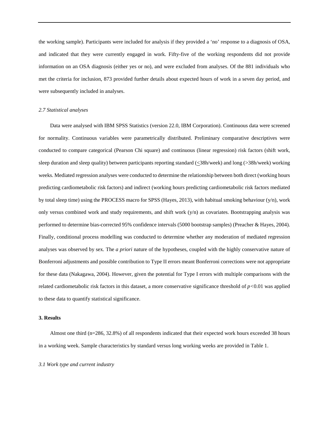the working sample). Participants were included for analysis if they provided a 'no' response to a diagnosis of OSA, and indicated that they were currently engaged in work. Fifty-five of the working respondents did not provide information on an OSA diagnosis (either yes or no), and were excluded from analyses. Of the 881 individuals who met the criteria for inclusion, 873 provided further details about expected hours of work in a seven day period, and were subsequently included in analyses.

#### *2.7 Statistical analyses*

Data were analysed with IBM SPSS Statistics (version 22.0, IBM Corporation). Continuous data were screened for normality. Continuous variables were parametrically distributed. Preliminary comparative descriptives were conducted to compare categorical (Pearson Chi square) and continuous (linear regression) risk factors (shift work, sleep duration and sleep quality) between participants reporting standard (<38h/week) and long (>38h/week) working weeks. Mediated regression analyses were conducted to determine the relationship between both direct (working hours predicting cardiometabolic risk factors) and indirect (working hours predicting cardiometabolic risk factors mediated by total sleep time) using the PROCESS macro for SPSS (Hayes, 2013), with habitual smoking behaviour (y/n), work only versus combined work and study requirements, and shift work (y/n) as covariates. Bootstrapping analysis was performed to determine bias-corrected 95% confidence intervals (5000 bootstrap samples) (Preacher & Hayes, 2004). Finally, conditional process modelling was conducted to determine whether any moderation of mediated regression analyses was observed by sex. The *a priori* nature of the hypotheses, coupled with the highly conservative nature of Bonferroni adjustments and possible contribution to Type II errors meant Bonferroni corrections were not appropriate for these data (Nakagawa, 2004). However, given the potential for Type I errors with multiple comparisons with the related cardiometabolic risk factors in this dataset, a more conservative significance threshold of *p<*0.01 was applied to these data to quantify statistical significance.

#### **3. Results**

Almost one third (n=286, 32.8%) of all respondents indicated that their expected work hours exceeded 38 hours in a working week. Sample characteristics by standard versus long working weeks are provided in Table 1.

#### *3.1 Work type and current industry*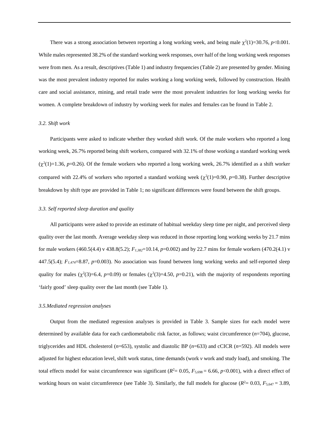There was a strong association between reporting a long working week, and being male  $\chi^2(1)=30.76$ ,  $p<0.001$ . While males represented 38.2% of the standard working week responses, over half of the long working week responses were from men. As a result, descriptives (Table 1) and industry frequencies (Table 2) are presented by gender. Mining was the most prevalent industry reported for males working a long working week, followed by construction. Health care and social assistance, mining, and retail trade were the most prevalent industries for long working weeks for women. A complete breakdown of industry by working week for males and females can be found in Table 2.

#### *3.2. Shift work*

Participants were asked to indicate whether they worked shift work. Of the male workers who reported a long working week, 26.7% reported being shift workers, compared with 32.1% of those working a standard working week  $(\chi^2(1)=1.36, p=0.26)$ . Of the female workers who reported a long working week, 26.7% identified as a shift worker compared with 22.4% of workers who reported a standard working week  $(\chi^2(1)=0.90, p=0.38)$ . Further descriptive breakdown by shift type are provided in Table 1; no significant differences were found between the shift groups.

#### *3.3. Self reported sleep duration and quality*

All participants were asked to provide an estimate of habitual weekday sleep time per night, and perceived sleep quality over the last month. Average weekday sleep was reduced in those reporting long working weeks by 21.7 mins for male workers (460.5(4.4) v 438.8(5.2); *F1,382*=10.14, *p*=0.002) and by 22.7 mins for female workers (470.2(4.1) v 447.5(5.4);  $F_{1,474}$ =8.87,  $p$ =0.003). No association was found between long working weeks and self-reported sleep quality for males ( $\chi^2(3)=6.4$ ,  $p=0.09$ ) or females ( $\chi^2(3)=4.50$ ,  $p=0.21$ ), with the majority of respondents reporting 'fairly good' sleep quality over the last month (see Table 1).

#### *3.5.Mediated regression analyses*

Output from the mediated regression analyses is provided in Table 3. Sample sizes for each model were determined by available data for each cardiometabolic risk factor, as follows; waist circumference (*n*=704), glucose, triglycerides and HDL cholesterol (*n*=653), systolic and diastolic BP (*n*=633) and cCICR (*n*=592). All models were adjusted for highest education level, shift work status, time demands (work *v* work and study load), and smoking. The total effects model for waist circumference was significant  $(R^2 = 0.05, F_{5,698} = 6.66, p < 0.001)$ , with a direct effect of working hours on waist circumference (see Table 3). Similarly, the full models for glucose ( $R^2$  = 0.03,  $F_{5,647}$  = 3.89,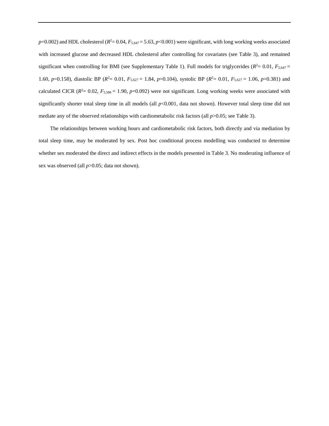$p=0.002$ ) and HDL cholesterol ( $R^2=0.04$ ,  $F_{5,647}=5.63$ ,  $p<0.001$ ) were significant, with long working weeks associated with increased glucose and decreased HDL cholesterol after controlling for covariates (see Table 3), and remained significant when controlling for BMI (see Supplementary Table 1). Full models for triglycerides  $(R^2 = 0.01, F_{5,647} =$ 1.60, *p*=0.158), diastolic BP ( $R^2$  = 0.01,  $F_{5,627}$  = 1.84, *p*=0.104), systolic BP ( $R^2$  = 0.01,  $F_{5,627}$  = 1.06, *p*=0.381) and calculated CICR  $(R^2 = 0.02, F_{5,586} = 1.90, p=0.092)$  were not significant. Long working weeks were associated with significantly shorter total sleep time in all models (all  $p$ <0.001, data not shown). However total sleep time did not mediate any of the observed relationships with cardiometabolic risk factors (all  $p>0.05$ ; see Table 3).

The relationships between working hours and cardiometabolic risk factors, both directly and via mediation by total sleep time, may be moderated by sex. Post hoc conditional process modelling was conducted to determine whether sex moderated the direct and indirect effects in the models presented in Table 3. No moderating influence of sex was observed (all *p*>0.05; data not shown).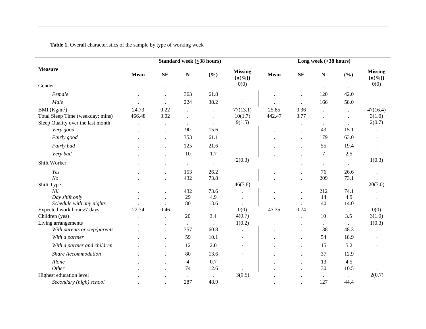Table 1. Overall characteristics of the sample by type of working week

|                                   |        |                      | Long week (>38 hours) |                      |                                |             |                      |                      |                      |                                |
|-----------------------------------|--------|----------------------|-----------------------|----------------------|--------------------------------|-------------|----------------------|----------------------|----------------------|--------------------------------|
| <b>Measure</b>                    | Mean   | <b>SE</b>            | ${\bf N}$             | (%)                  | <b>Missing</b><br>$(n(^{96}))$ | <b>Mean</b> | <b>SE</b>            | ${\bf N}$            | (%)                  | <b>Missing</b><br>$(n(^{96}))$ |
| Gender                            |        |                      |                       | $\ddot{\phantom{0}}$ | 0(0)                           |             |                      |                      |                      | 0(0)                           |
| Female                            |        | $\ddot{\phantom{0}}$ | 363                   | 61.8                 | $\bullet$                      |             |                      | 120                  | 42.0                 |                                |
| Male                              |        | $\ddot{\phantom{a}}$ | 224                   | 38.2                 | $\cdot$                        |             |                      | 166                  | 58.0                 |                                |
| BMI $(Kg/m^2)$                    | 24.73  | 0.22                 |                       | $\ddot{\phantom{a}}$ | 77(13.1)                       | 25.85       | 0.36                 |                      | $\cdot$              | 47(16.4)                       |
| Total Sleep Time (weekday; mins)  | 466.48 | 3.02                 |                       |                      | 10(1.7)                        | 442.47      | 3.77                 |                      |                      | 3(1.0)                         |
| Sleep Quality over the last month |        | $\bullet$            | $\cdot$               | $\ddot{\phantom{0}}$ | 9(1.5)                         |             |                      | $\bullet$            |                      | 2(0.7)                         |
| Very good                         |        | $\ddot{\phantom{0}}$ | 90                    | 15.6                 |                                |             | $\ddot{\phantom{a}}$ | 43                   | 15.1                 |                                |
| Fairly good                       |        | $\ddot{\phantom{0}}$ | 353                   | 61.1                 |                                |             |                      | 179                  | 63.0                 |                                |
| Fairly bad                        |        | $\bullet$            | 125                   | 21.6                 |                                |             |                      | 55                   | 19.4                 |                                |
| Very bad                          |        | $\cdot$              | $10\,$                | 1.7                  |                                |             | $\bullet$            | $\tau$               | 2.5                  | $\bullet$                      |
| Shift Worker                      |        |                      | $\bullet$             | $\bullet$            | 2(0.3)                         |             |                      | $\cdot$              | $\cdot$              | 1(0.3)                         |
| Yes                               |        | $\ddot{\phantom{0}}$ | 153                   | 26.2                 |                                |             |                      | 76                   | 26.6                 |                                |
| N <sub>O</sub>                    |        |                      | 432                   | 73.8                 |                                |             |                      | 209                  | 73.1                 |                                |
| Shift Type                        |        |                      | $\bullet$             | $\Box$               | 46(7.8)                        |             |                      | $\Box$               | $\ddot{\phantom{a}}$ | 20(7.0)                        |
| Nil                               |        |                      | 432                   | 73.6                 |                                |             |                      | 212                  | 74.1                 |                                |
| Day shift only                    |        |                      | 29                    | 4.9                  |                                |             |                      | 14                   | 4.9                  |                                |
| Schedule with any nights          |        |                      | 80                    | 13.6                 |                                |             |                      | 40                   | 14.0                 |                                |
| Expected work hours/7 days        | 22.74  | 0.46                 | $\bullet$             | $\Box$               | 0(0)                           | 47.35       | 0.74                 | $\Box$               | $\blacksquare$       | 0(0)                           |
| Children (yes)                    |        | $\ddot{\phantom{a}}$ | 20                    | 3.4                  | 4(0.7)                         |             | $\ddot{\phantom{a}}$ | 10                   | 3.5                  | 3(1.0)                         |
| Living arrangements               |        | $\ddot{\phantom{a}}$ | $\bullet$             | $\ddot{\phantom{a}}$ | 1(0.2)                         |             | $\ddot{\phantom{a}}$ | $\ddot{\phantom{a}}$ |                      | 1(0.3)                         |
| With parents or step/parents      |        |                      | 357                   | 60.8                 | $\ddot{\phantom{a}}$           |             |                      | 138                  | 48.3                 |                                |
| With a partner                    |        | $\ddot{\phantom{0}}$ | 59                    | 10.1                 | $\bullet$                      |             |                      | 54                   | 18.9                 |                                |
| With a partner and children       |        | $\ddot{\phantom{a}}$ | 12                    | 2.0                  | $\bullet$                      |             | $\ddot{\phantom{a}}$ | 15                   | 5.2                  |                                |
| <b>Share Accommodation</b>        |        |                      | $80\,$                | 13.6                 | $\bullet$                      |             |                      | 37                   | 12.9                 |                                |
| Alone                             |        |                      | 4                     | 0.7                  | $\bullet$                      |             |                      | 13                   | 4.5                  |                                |
| Other                             |        |                      | 74                    | 12.6                 |                                |             |                      | 30                   | 10.5                 |                                |
| Highest education level           |        |                      | $\bullet$             | $\bullet$            | 3(0.5)                         |             |                      | $\cdot$              |                      | 2(0.7)                         |
| Secondary (high) school           |        |                      | 287                   | 48.9                 | $\cdot$                        |             |                      | 127                  | 44.4                 |                                |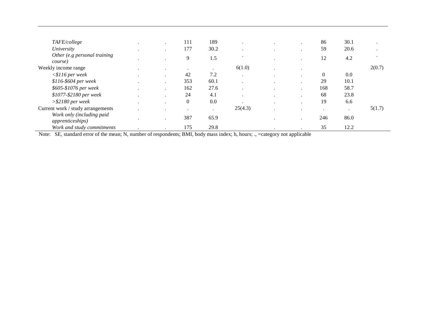| TAFE/college                                          | $\cdot$   | 111            | 189     | $\cdot$ |                      | ٠         | 86       | 30.1 |         |
|-------------------------------------------------------|-----------|----------------|---------|---------|----------------------|-----------|----------|------|---------|
| University                                            |           | 177            | 30.2    | $\cdot$ |                      |           | 59       | 20.6 | $\cdot$ |
| Other (e.g personal training<br>course)               |           | 9              | 1.5     | ٠       | $\bullet$            |           | 12       | 4.2  |         |
| Weekly income range                                   | $\cdot$   |                | $\cdot$ | 6(1.0)  |                      |           |          |      | 2(0.7)  |
| $<$ \$116 per week                                    |           | 42             | 7.2     | $\cdot$ | ٠                    |           | $\Omega$ | 0.0  |         |
| \$116-\$604 per week                                  | $\bullet$ | 353            | 60.1    | $\cdot$ | ٠                    |           | 29       | 10.1 |         |
| \$605-\$1076 per week                                 | $\cdot$   | 162            | 27.6    | $\cdot$ | $\ddot{\phantom{1}}$ | $\bullet$ | 168      | 58.7 |         |
| \$1077-\$2180 per week                                |           | 24             | 4.1     | $\cdot$ | ٠                    |           | 68       | 23.8 |         |
| $> $2180$ per week                                    | $\cdot$   | $\overline{0}$ | 0.0     | $\cdot$ | $\cdot$              |           | 19       | 6.6  |         |
| Current work / study arrangements                     |           |                | ٠       | 25(4.3) |                      |           | $\cdot$  | ٠    | 5(1.7)  |
| Work only (including paid<br><i>apprenticeships</i> ) | $\cdot$   | 387            | 65.9    |         |                      | ٠         | 246      | 86.0 |         |
| Work and study commitments                            |           | 175            | 29.8    |         |                      |           | 35       | 12.2 |         |

Note: SE, standard error of the mean; N, number of respondents; BMI, body mass index; h, hours; ., =category not applicable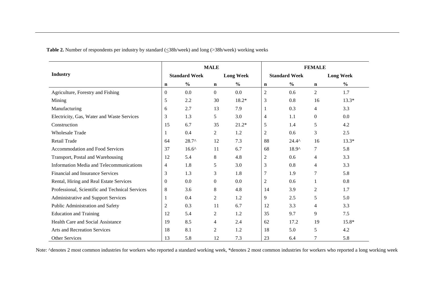Table 2. Number of respondents per industry by standard ( $\leq$ 38h/week) and long (>38h/week) working weeks

| <b>Industry</b>                                 |                |                      | <b>MALE</b>    |                  | <b>FEMALE</b>  |                      |                |                  |  |
|-------------------------------------------------|----------------|----------------------|----------------|------------------|----------------|----------------------|----------------|------------------|--|
|                                                 |                | <b>Standard Week</b> |                | <b>Long Week</b> |                | <b>Standard Week</b> |                | <b>Long Week</b> |  |
|                                                 | n              | $\frac{0}{0}$        | $\mathbf n$    | $\frac{6}{6}$    | $\mathbf n$    | $\frac{0}{0}$        | $\mathbf n$    | $\frac{6}{6}$    |  |
| Agriculture, Forestry and Fishing               | $\mathbf{0}$   | 0.0                  | $\overline{0}$ | 0.0              | $\overline{2}$ | 0.6                  | 2              | 1.7              |  |
| Mining                                          | 5              | 2.2                  | 30             | 18.2*            | $\mathfrak{Z}$ | 0.8                  | 16             | $13.3*$          |  |
| Manufacturing                                   | 6              | 2.7                  | 13             | 7.9              | 1              | 0.3                  | $\overline{4}$ | 3.3              |  |
| Electricity, Gas, Water and Waste Services      | 3              | 1.3                  | 5              | 3.0              | $\overline{4}$ | 1.1                  | $\overline{0}$ | 0.0              |  |
| Construction                                    | 15             | 6.7                  | 35             | $21.2*$          | 5              | 1.4                  | 5              | 4.2              |  |
| <b>Wholesale Trade</b>                          | 1              | 0.4                  | 2              | 1.2              | $\overline{2}$ | 0.6                  | 3              | 2.5              |  |
| Retail Trade                                    | 64             | $28.7^{\circ}$       | 12             | 7.3              | 88             | $24.4^{\circ}$       | 16             | $13.3*$          |  |
| Accommodation and Food Services                 | 37             | $16.6^{\circ}$       | 11             | 6.7              | 68             | $18.9^{\circ}$       | 7              | 5.8              |  |
| Transport, Postal and Warehousing               | 12             | 5.4                  | 8              | 4.8              | $\mathfrak{2}$ | 0.6                  | 4              | 3.3              |  |
| Information Media and Telecommunications        | $\overline{4}$ | 1.8                  | 5              | 3.0              | 3              | 0.8                  | $\overline{4}$ | 3.3              |  |
| Financial and Insurance Services                | 3              | 1.3                  | 3              | 1.8              | 7              | 1.9                  | 7              | 5.8              |  |
| Rental, Hiring and Real Estate Services         | $\mathbf{0}$   | 0.0                  | $\overline{0}$ | 0.0              | $\overline{2}$ | 0.6                  |                | 0.8              |  |
| Professional, Scientific and Technical Services | 8              | 3.6                  | 8              | 4.8              | 14             | 3.9                  | 2              | 1.7              |  |
| Administrative and Support Services             | 1              | 0.4                  | 2              | 1.2              | 9              | 2.5                  | 5              | 5.0              |  |
| Public Administration and Safety                | $\overline{c}$ | 0.3                  | 11             | 6.7              | 12             | 3.3                  | $\overline{4}$ | 3.3              |  |
| <b>Education and Training</b>                   | 12             | 5.4                  | 2              | 1.2              | 35             | 9.7                  | 9              | 7.5              |  |
| Health Care and Social Assistance               | 19             | 8.5                  | 4              | 2.4              | 62             | 17.2                 | 19             | 15.8*            |  |
| <b>Arts and Recreation Services</b>             | 18             | 8.1                  | 2              | 1.2              | 18             | 5.0                  | 5              | 4.2              |  |
| <b>Other Services</b>                           | 13             | 5.8                  | 12             | 7.3              | 23             | 6.4                  | 7              | 5.8              |  |

Note: ^denotes 2 most common industries for workers who reported a standard working week, \*denotes 2 most common industries for workers who reported a long working week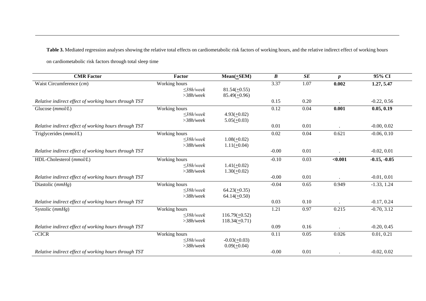Table 3. Mediated regression analyses showing the relative total effects on cardiometabolic risk factors of working hours, and the relative indirect effect of working hours

on cardiometabolic risk factors through total sleep time

| <b>CMR</b> Factor                                     | Factor          | $Mean(\pm SEM)$    | $\boldsymbol{B}$ | SE   | $\boldsymbol{p}$ | 95% CI         |
|-------------------------------------------------------|-----------------|--------------------|------------------|------|------------------|----------------|
| Waist Circumference (cm)                              | Working hours   |                    | 3.37             | 1.07 | 0.002            | 1.27, 5.47     |
|                                                       | $\leq$ 38h/week | $81.54(+0.55)$     |                  |      |                  |                |
| Relative indirect effect of working hours through TST | $>38h$ /week    | $85.49(+0.96)$     | 0.15             | 0.20 |                  | $-0.22, 0.56$  |
|                                                       |                 |                    |                  |      |                  |                |
| Glucose $(mmol/L)$                                    | Working hours   |                    | 0.12             | 0.04 | 0.001            | 0.05, 0.19     |
|                                                       | $\leq$ 38h/week | $4.93(+0.02)$      |                  |      |                  |                |
|                                                       | $>$ 38h/week    | $5.05(+0.03)$      |                  |      |                  |                |
| Relative indirect effect of working hours through TST |                 |                    | 0.01             | 0.01 |                  | $-0.00, 0.02$  |
| Triglycerides $(mmol/L)$                              | Working hours   |                    | 0.02             | 0.04 | 0.621            | $-0.06, 0.10$  |
|                                                       | $\leq$ 38h/week | $1.08(\pm 0.02)$   |                  |      |                  |                |
|                                                       | $>$ 38h/week    | $1.11(+0.04)$      |                  |      |                  |                |
| Relative indirect effect of working hours through TST |                 |                    | $-0.00$          | 0.01 |                  | $-0.02, 0.01$  |
| HDL-Cholesterol (mmol/L)                              | Working hours   |                    | $-0.10$          | 0.03 | < 0.001          | $-0.15, -0.05$ |
|                                                       | $\leq$ 38h/week | $1.41(+0.02)$      |                  |      |                  |                |
|                                                       | $>$ 38h/week    | $1.30(+0.02)$      |                  |      |                  |                |
| Relative indirect effect of working hours through TST |                 |                    | $-0.00$          | 0.01 |                  | $-0.01, 0.01$  |
| Diastolic $(mmHg)$                                    | Working hours   |                    | $-0.04$          | 0.65 | 0.949            | $-1.33, 1.24$  |
|                                                       | $\leq$ 38h/week | $64.23(\pm 0.35)$  |                  |      |                  |                |
|                                                       | $>$ 38h/week    | $64.14(\pm 0.50)$  |                  |      |                  |                |
| Relative indirect effect of working hours through TST |                 |                    | 0.03             | 0.10 |                  | $-0.17, 0.24$  |
| Systolic $(mmHg)$                                     | Working hours   |                    | 1.21             | 0.97 | 0.215            | $-0.70, 3.12$  |
|                                                       | $\leq$ 38h/week | $116.79(+0.52)$    |                  |      |                  |                |
|                                                       | $>38h$ /week    | $118.34(\pm 0.71)$ |                  |      |                  |                |
| Relative indirect effect of working hours through TST |                 |                    | 0.09             | 0.16 |                  | $-0.20, 0.45$  |
| cCICR                                                 | Working hours   |                    | 0.11             | 0.05 | 0.026            | 0.01, 0.21     |
|                                                       | $\leq$ 38h/week | $-0.03(+0.03)$     |                  |      |                  |                |
|                                                       | $>38h$ /week    | $0.09(\pm 0.04)$   |                  |      |                  |                |
| Relative indirect effect of working hours through TST |                 |                    | $-0.00$          | 0.01 |                  | $-0.02, 0.02$  |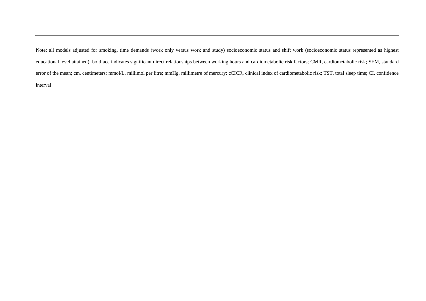Note: all models adjusted for smoking, time demands (work only versus work and study) socioeconomic status and shift work (socioeconomic status represented as highest educational level attained); boldface indicates significant direct relationships between working hours and cardiometabolic risk factors; CMR, cardiometabolic risk; SEM, standard error of the mean; cm, centimeters; mmol/L, millimol per litre; mmHg, millimetre of mercury; cCICR, clinical index of cardiometabolic risk; TST, total sleep time; CI, confidence interval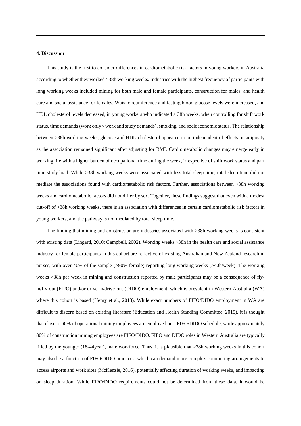### **4. Discussion**

This study is the first to consider differences in cardiometabolic risk factors in young workers in Australia according to whether they worked >38h working weeks. Industries with the highest frequency of participants with long working weeks included mining for both male and female participants, construction for males, and health care and social assistance for females. Waist circumference and fasting blood glucose levels were increased, and HDL cholesterol levels decreased, in young workers who indicated > 38h weeks, when controlling for shift work status, time demands (work only *v* work and study demands), smoking, and socioeconomic status. The relationship between >38h working weeks, glucose and HDL-cholesterol appeared to be independent of effects on adiposity as the association remained significant after adjusting for BMI. Cardiometabolic changes may emerge early in working life with a higher burden of occupational time during the week, irrespective of shift work status and part time study load. While >38h working weeks were associated with less total sleep time, total sleep time did not mediate the associations found with cardiometabolic risk factors. Further, associations between >38h working weeks and cardiometabolic factors did not differ by sex. Together, these findings suggest that even with a modest cut-off of >38h working weeks, there is an association with differences in certain cardiometabolic risk factors in young workers, and the pathway is not mediated by total sleep time.

The finding that mining and construction are industries associated with >38h working weeks is consistent with existing data (Lingard, 2010; Campbell, 2002). Working weeks >38h in the health care and social assistance industry for female participants in this cohort are reflective of existing Australian and New Zealand research in nurses, with over 40% of the sample (>90% female) reporting long working weeks (>40h/week). The working weeks >38h per week in mining and construction reported by male participants may be a consequence of flyin/fly-out (FIFO) and/or drive-in/drive-out (DIDO) employment, which is prevalent in Western Australia (WA) where this cohort is based (Henry et al., 2013). While exact numbers of FIFO/DIDO employment in WA are difficult to discern based on existing literature (Education and Health Standing Committee, 2015), it is thought that close to 60% of operational mining employees are employed on a FIFO/DIDO schedule, while approximately 80% of construction mining employees are FIFO/DIDO. FIFO and DIDO roles in Western Australia are typically filled by the younger (18-44year), male workforce. Thus, it is plausible that >38h working weeks in this cohort may also be a function of FIFO/DIDO practices, which can demand more complex commuting arrangements to access airports and work sites (McKenzie, 2016), potentially affecting duration of working weeks, and impacting on sleep duration. While FIFO/DIDO requirements could not be determined from these data, it would be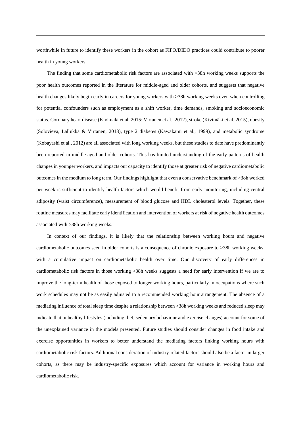worthwhile in future to identify these workers in the cohort as FIFO/DIDO practices could contribute to poorer health in young workers.

The finding that some cardiometabolic risk factors are associated with >38h working weeks supports the poor health outcomes reported in the literature for middle-aged and older cohorts, and suggests that negative health changes likely begin early in careers for young workers with >38h working weeks even when controlling for potential confounders such as employment as a shift worker, time demands, smoking and socioeconomic status. Coronary heart disease (Kivimäki et al. 2015; Virtanen et al., 2012), stroke (Kivimäki et al. 2015), obesity (Solovieva, Lallukka & Virtanen, 2013), type 2 diabetes (Kawakami et al., 1999), and metabolic syndrome (Kobayashi et al., 2012) are all associated with long working weeks, but these studies to date have predominantly been reported in middle-aged and older cohorts. This has limited understanding of the early patterns of health changes in younger workers, and impacts our capacity to identify those at greater risk of negative cardiometabolic outcomes in the medium to long term. Our findings highlight that even a conservative benchmark of >38h worked per week is sufficient to identify health factors which would benefit from early monitoring, including central adiposity (waist circumference), measurement of blood glucose and HDL cholesterol levels. Together, these routine measures may facilitate early identification and intervention of workers at risk of negative health outcomes associated with >38h working weeks.

In context of our findings, it is likely that the relationship between working hours and negative cardiometabolic outcomes seen in older cohorts is a consequence of chronic exposure to >38h working weeks, with a cumulative impact on cardiometabolic health over time. Our discovery of early differences in cardiometabolic risk factors in those working >38h weeks suggests a need for early intervention if we are to improve the long-term health of those exposed to longer working hours, particularly in occupations where such work schedules may not be as easily adjusted to a recommended working hour arrangement. The absence of a mediating influence of total sleep time despite a relationship between >38h working weeks and reduced sleep may indicate that unhealthy lifestyles (including diet, sedentary behaviour and exercise changes) account for some of the unexplained variance in the models presented. Future studies should consider changes in food intake and exercise opportunities in workers to better understand the mediating factors linking working hours with cardiometabolic risk factors. Additional consideration of industry-related factors should also be a factor in larger cohorts, as there may be industry-specific exposures which account for variance in working hours and cardiometabolic risk.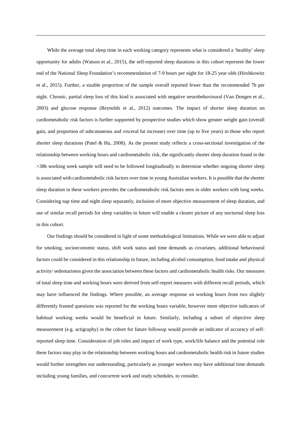While the average total sleep time in each working category represents what is considered a 'healthy' sleep opportunity for adults (Watson et al., 2015), the self-reported sleep durations in this cohort represent the lower end of the National Sleep Foundation's recommendation of 7-9 hours per night for 18-25 year olds (Hirshkowitz et al., 2015). Further, a sizable proportion of the sample overall reported fewer than the recommended 7h per night. Chronic, partial sleep loss of this kind is associated with negative neurobehavioural (Van Dongen et al., 2003) and glucose response (Reynolds et al., 2012) outcomes. The impact of shorter sleep duration on cardiometabolic risk factors is further supported by prospective studies which show greater weight gain (overall gain, and proportion of subcutaneous and visceral fat increase) over time (up to five years) in those who report shorter sleep durations (Patel & Hu, 2008). As the present study reflects a cross-sectional investigation of the relationship between working hours and cardiometabolic risk, the significantly shorter sleep duration found in the >38h working week sample will need to be followed longitudinally to determine whether ongoing shorter sleep is associated with cardiometabolic risk factors over time in young Australian workers. It is possible that the shorter sleep duration in these workers precedes the cardiometabolic risk factors seen in older workers with long weeks. Considering nap time and night sleep separately, inclusion of more objective measurement of sleep duration, and use of similar recall periods for sleep variables in future will enable a clearer picture of any nocturnal sleep loss in this cohort.

Our findings should be considered in light of some methodological limitations. While we were able to adjust for smoking, socioeconomic status, shift work status and time demands as covariates, additional behavioural factors could be considered in this relationship in future, including alcohol consumption, food intake and physical activity/ sedentariness given the association between these factors and cardiometabolic health risks. Our measures of total sleep time and working hours were derived from self-report measures with different recall periods, which may have influenced the findings. Where possible, an average response on working hours from two slightly differently framed questions was reported for the working hours variable, however more objective indicators of habitual working weeks would be beneficial in future. Similarly, including a subset of objective sleep measurement (e.g. actigraphy) in the cohort for future followup would provide an indicator of accuracy of selfreported sleep time. Consideration of job roles and impact of work type, work/life balance and the potential role these factors may play in the relationship between working hours and cardiometabolic health risk in future studies would further strengthen our understanding, particularly as younger workers may have additional time demands including young families, and concurrent work and study schedules, to consider.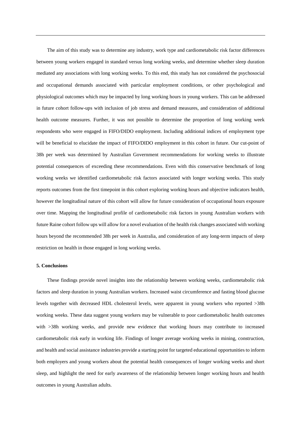The aim of this study was to determine any industry, work type and cardiometabolic risk factor differences between young workers engaged in standard versus long working weeks, and determine whether sleep duration mediated any associations with long working weeks. To this end, this study has not considered the psychosocial and occupational demands associated with particular employment conditions, or other psychological and physiological outcomes which may be impacted by long working hours in young workers. This can be addressed in future cohort follow-ups with inclusion of job stress and demand measures, and consideration of additional health outcome measures. Further, it was not possible to determine the proportion of long working week respondents who were engaged in FIFO/DIDO employment. Including additional indices of employment type will be beneficial to elucidate the impact of FIFO/DIDO employment in this cohort in future. Our cut-point of 38h per week was determined by Australian Government recommendations for working weeks to illustrate potential consequences of exceeding these recommendations. Even with this conservative benchmark of long working weeks we identified cardiometabolic risk factors associated with longer working weeks. This study reports outcomes from the first timepoint in this cohort exploring working hours and objective indicators health, however the longitudinal nature of this cohort will allow for future consideration of occupational hours exposure over time. Mapping the longitudinal profile of cardiometabolic risk factors in young Australian workers with future Raine cohort follow ups will allow for a novel evaluation of the health risk changes associated with working hours beyond the recommended 38h per week in Australia, and consideration of any long-term impacts of sleep restriction on health in those engaged in long working weeks.

### **5. Conclusions**

These findings provide novel insights into the relationship between working weeks, cardiometabolic risk factors and sleep duration in young Australian workers. Increased waist circumference and fasting blood glucose levels together with decreased HDL cholesterol levels, were apparent in young workers who reported >38h working weeks. These data suggest young workers may be vulnerable to poor cardiometabolic health outcomes with >38h working weeks, and provide new evidence that working hours may contribute to increased cardiometabolic risk early in working life. Findings of longer average working weeks in mining, construction, and health and social assistance industries provide a starting point for targeted educational opportunities to inform both employers and young workers about the potential health consequences of longer working weeks and short sleep, and highlight the need for early awareness of the relationship between longer working hours and health outcomes in young Australian adults.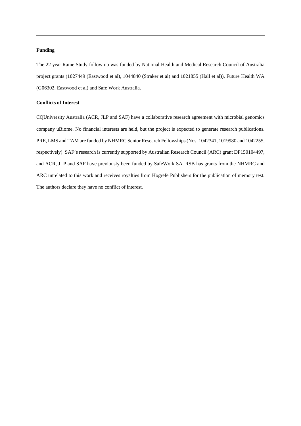### **Funding**

The 22 year Raine Study follow-up was funded by National Health and Medical Research Council of Australia project grants (1027449 (Eastwood et al), 1044840 (Straker et al) and 1021855 (Hall et al)), Future Health WA (G06302, Eastwood et al) and Safe Work Australia.

## **Conflicts of Interest**

CQUniversity Australia (ACR, JLP and SAF) have a collaborative research agreement with microbial genomics company uBiome. No financial interests are held, but the project is expected to generate research publications. PRE, LMS and TAM are funded by NHMRC Senior Research Fellowships (Nos. 1042341, 1019980 and 1042255, respectively). SAF's research is currently supported by Australian Research Council (ARC) grant DP150104497, and ACR, JLP and SAF have previously been funded by SafeWork SA. RSB has grants from the NHMRC and ARC unrelated to this work and receives royalties from Hogrefe Publishers for the publication of memory test. The authors declare they have no conflict of interest.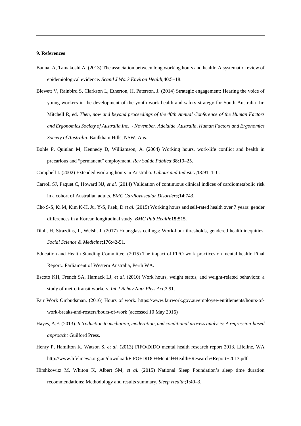### **9. References**

- Bannai A, Tamakoshi A. (2013) The association between long working hours and health: A systematic review of epidemiological evidence. *Scand J Work Environ Health*;**40**:5–18.
- Blewett V, Rainbird S, Clarkson L, Etherton, H, Paterson, J*.* (2014) Strategic engagement: Hearing the voice of young workers in the development of the youth work health and safety strategy for South Australia. In: Mitchell R, ed. *Then, now and beyond proceedings of the 40th Annual Conference of the Human Factors and Ergonomics Society of Australia Inc., - November, Adelaide, Australia, Human Factors and Ergonomics Society of Australia*. Baulkham Hills, NSW, Aus.
- Bohle P, Quinlan M, Kennedy D, Williamson, A*.* (2004) Working hours, work-life conflict and health in precarious and "permanent" employment. *Rev Saúde Pública*;**38**:19–25.
- Campbell I. (2002) Extended working hours in Australia. *Labour and Industry*;**13**:91–110.
- Carroll SJ, Paquet C, Howard NJ, *et al.* (2014) Validation of continuous clinical indices of cardiometabolic risk in a cohort of Australian adults. *BMC Cardiovascular Disorders*;**14**:743.
- Cho S-S, Ki M, Kim K-H, Ju, Y-S, Paek, D *et al.* (2015) Working hours and self-rated health over 7 years: gender differences in a Korean longitudinal study. *BMC Pub Health*;**15**:515.
- Dinh, H, Strazdins, L, Welsh, J. (2017) Hour-glass ceilings: Work-hour thresholds, gendered health inequities. *Social Science & Medicine*;**176**:42-51.
- Education and Health Standing Committee. (2015) The impact of FIFO work practices on mental health: Final Report.. Parliament of Western Australia, Perth WA.
- Escoto KH, French SA, Harnack LJ, *et al.* (2010) Work hours, weight status, and weight-related behaviors: a study of metro transit workers. *Int J Behav Nutr Phys Act*;**7**:91.
- Fair Work Ombudsman. (2016) Hours of work. https://www.fairwork.gov.au/employee-entitlements/hours-ofwork-breaks-and-rosters/hours-of-work (accessed 10 May 2016)
- Hayes, A.F. (2013). *Introduction to mediation, moderation, and conditional process analysis: A regression-based approach:* Guilford Press.
- Henry P, Hamilton K, Watson S, *et al.* (2013) FIFO/DIDO mental health research report 2013. Lifeline, WA http://www.lifelinewa.org.au/download/FIFO+DIDO+Mental+Health+Research+Report+2013.pdf
- Hirshkowitz M, Whiton K, Albert SM, *et al.* (2015) National Sleep Foundation's sleep time duration recommendations: Methodology and results summary. *Sleep Health*;**1**:40–3.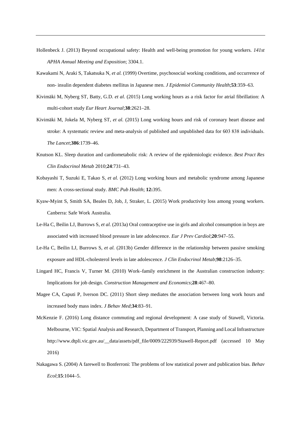- Hollenbeck J. (2013) Beyond occupational safety: Health and well-being promotion for young workers. *141st APHA Annual Meeting and Exposition*; 3304.1.
- Kawakami N, Araki S, Takatsuka N, *et al.* (1999) Overtime, psychosocial working conditions, and occurrence of non- insulin dependent diabetes mellitus in Japanese men. *J Epidemiol Community Health*;**53**:359–63.
- Kivimäki M, Nyberg ST, Batty, G.D. *et al.* (2015) Long working hours as a risk factor for atrial fibrillation: A multi-cohort study *Eur Heart Journal*;**38**:2621–28.
- Kivimäki M, Jokela M, Nyberg ST, *et al.* (2015) Long working hours and risk of coronary heart disease and stroke: A systematic review and meta-analysis of published and unpublished data for 603 838 individuals. *The Lancet*;**386**:1739–46.
- Knutson KL. Sleep duration and cardiometabolic risk: A review of the epidemiologic evidence. *Best Pract Res Clin Endocrinol Metab* 2010;**24**:731–43.
- Kobayashi T, Suzuki E, Takao S, *et al.* (2012) Long working hours and metabolic syndrome among Japanese men: A cross-sectional study. *BMC Pub Health*; **12:**395.
- Kyaw-Myint S, Smith SA, Beales D, Job, J, Straker, L*.* (2015) Work productivity loss among young workers. Canberra: Safe Work Australia.
- Le-Ha C, Beilin LJ, Burrows S, *et al.* (2013a) Oral contraceptive use in girls and alcohol consumption in boys are associated with increased blood pressure in late adolescence. *Eur J Prev Cardiol*;**20**:947–55.
- Le-Ha C, Beilin LJ, Burrows S, *et al.* (2013b) Gender difference in the relationship between passive smoking exposure and HDL-cholesterol levels in late adolescence. *J Clin Endocrinol Metab*;**98**:2126–35.
- Lingard HC, Francis V, Turner M. (2010) Work–family enrichment in the Australian construction industry: Implications for job design. *Construction Management and Economics*;**28**:467–80.
- Magee CA, Caputi P, Iverson DC. (2011) Short sleep mediates the association between long work hours and increased body mass index. *J Behav Med*;**34**:83–91.
- McKenzie F. (2016) Long distance commuting and regional development: A case study of Stawell, Victoria. Melbourne, VIC: Spatial Analysis and Research, Department of Transport, Planning and Local Infrastructure http://www.dtpli.vic.gov.au/\_data/assets/pdf\_file/0009/222939/Stawell-Report.pdf (accessed 10 May 2016)
- Nakagawa S. (2004) A farewell to Bonferroni: The problems of low statistical power and publication bias. *Behav Ecol*;**15**:1044–5.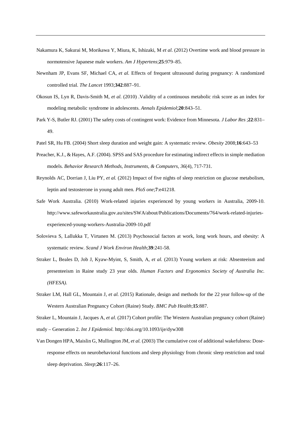- Nakamura K, Sakurai M, Morikawa Y, Miura, K, Ishizaki, M *et al.* (2012) Overtime work and blood pressure in normotensive Japanese male workers. *Am J Hypertens*;**25**:979–85.
- Newnham JP, Evans SF, Michael CA, *et al.* Effects of frequent ultrasound during pregnancy: A randomized controlled trial. *The Lancet* 1993;**342**:887–91.
- Okosun IS, Lyn R, Davis-Smith M, *et al.* (2010) .Validity of a continuous metabolic risk score as an index for modeling metabolic syndrome in adolescents. *Annals Epidemiol*;**20**:843–51.
- Park Y-S, Butler RJ. (2001) The safety costs of contingent work: Evidence from Minnesota. *J Labor Res* ;**22**:831– 49.
- Patel SR, Hu FB. (2004) Short sleep duration and weight gain: A systematic review. *Obesity* 2008;**16**:643–53
- Preacher, K.J., & Hayes, A.F. (2004). SPSS and SAS procedure for estimating indirect effects in simple mediation models. *Behavior Research Methods, Instruments, & Computers, 36*(4), 717-731.
- Reynolds AC, Dorrian J, Liu PY, *et al.* (2012) Impact of five nights of sleep restriction on glucose metabolism, leptin and testosterone in young adult men. *PloS one*;**7**:e41218.
- Safe Work Australia. (2010) Work-related injuries experienced by young workers in Australia, 2009-10. http://www.safeworkaustralia.gov.au/sites/SWA/about/Publications/Documents/764/work-related-injuriesexperienced-young-workers-Australia-2009-10.pdf
- Solovieva S, Lallukka T, Virtanen M. (2013) Psychosocial factors at work, long work hours, and obesity: A systematic review. *Scand J Work Environ Health*;**39**:241-58.
- Straker L, Beales D, Job J, Kyaw-Myint, S, Smith, A, *et al.* (2013) Young workers at risk: Absenteeism and presenteeism in Raine study 23 year olds. *Human Factors and Ergonomics Society of Australia Inc. (HFESA)*.
- Straker LM, Hall GL, Mountain J, *et al.* (2015) Rationale, design and methods for the 22 year follow-up of the Western Australian Pregnancy Cohort (Raine) Study. *BMC Pub Health*;**15**:887.

Straker L, Mountain J, Jacques A, *et al*. (2017) Cohort profile: The Western Australian pregnancy cohort (Raine) study – Generation 2. *Int J Epidemiol.* http://doi.org/10.1093/ije/dyw308

Van Dongen HPA, Maislin G, Mullington JM, *et al.* (2003) The cumulative cost of additional wakefulness: Doseresponse effects on neurobehavioral functions and sleep physiology from chronic sleep restriction and total sleep deprivation. *Sleep*;**26**:117–26.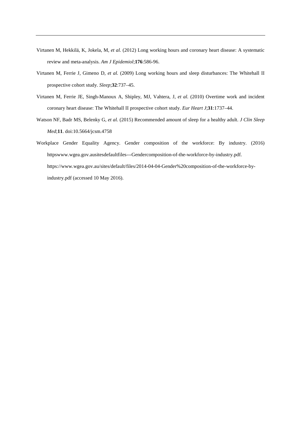- Virtanen M, Hekkilä, K, Jokela, M, *et al.* (2012) Long working hours and coronary heart disease: A systematic review and meta-analysis. *Am J Epidemiol*;**176**:586-96.
- Virtanen M, Ferrie J, Gimeno D, *et al.* (2009) Long working hours and sleep disturbances: The Whitehall II prospective cohort study. *Sleep*;**32**:737–45.
- Virtanen M, Ferrie JE, Singh-Manoux A, Shipley, MJ, Vahtera, J, *et al.* (2010) Overtime work and incident coronary heart disease: The Whitehall II prospective cohort study. *Eur Heart J*;**31**:1737–44.
- Watson NF, Badr MS, Belenky G, *et al.* (2015) Recommended amount of sleep for a healthy adult. *J Clin Sleep Med*;**11**. doi:10.5664/jcsm.4758
- Workplace Gender Equality Agency. Gender composition of the workforce: By industry. (2016) httpswww.wgea.gov.ausitesdefaultfiles---Gendercomposition-of-the-workforce-by-industry.pdf. https://www.wgea.gov.au/sites/default/files/2014-04-04-Gender%20composition-of-the-workforce-byindustry.pdf (accessed 10 May 2016).